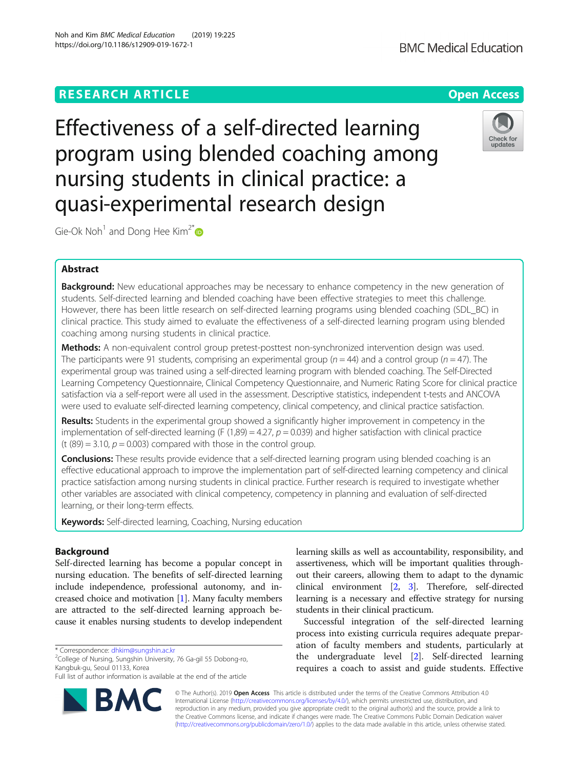# **RESEARCH ARTICLE Example 2014 12:30 The Contract of Contract ACCESS**

Effectiveness of a self-directed learning program using blended coaching among nursing students in clinical practice: a quasi-experimental research design

Gie-Ok Noh<sup>1</sup> and Dong Hee Kim<sup>2[\\*](http://orcid.org/0000-0002-9514-9734)</sup>

# Abstract

Background: New educational approaches may be necessary to enhance competency in the new generation of students. Self-directed learning and blended coaching have been effective strategies to meet this challenge. However, there has been little research on self-directed learning programs using blended coaching (SDL\_BC) in clinical practice. This study aimed to evaluate the effectiveness of a self-directed learning program using blended coaching among nursing students in clinical practice.

Methods: A non-equivalent control group pretest-posttest non-synchronized intervention design was used. The participants were 91 students, comprising an experimental group ( $n = 44$ ) and a control group ( $n = 47$ ). The experimental group was trained using a self-directed learning program with blended coaching. The Self-Directed Learning Competency Questionnaire, Clinical Competency Questionnaire, and Numeric Rating Score for clinical practice satisfaction via a self-report were all used in the assessment. Descriptive statistics, independent t-tests and ANCOVA were used to evaluate self-directed learning competency, clinical competency, and clinical practice satisfaction.

Results: Students in the experimental group showed a significantly higher improvement in competency in the implementation of self-directed learning (F (1,89) = 4.27,  $p = 0.039$ ) and higher satisfaction with clinical practice (t  $(89) = 3.10$ ,  $p = 0.003$ ) compared with those in the control group.

Conclusions: These results provide evidence that a self-directed learning program using blended coaching is an effective educational approach to improve the implementation part of self-directed learning competency and clinical practice satisfaction among nursing students in clinical practice. Further research is required to investigate whether other variables are associated with clinical competency, competency in planning and evaluation of self-directed learning, or their long-term effects.

Keywords: Self-directed learning, Coaching, Nursing education

# Background

Self-directed learning has become a popular concept in nursing education. The benefits of self-directed learning include independence, professional autonomy, and increased choice and motivation [\[1\]](#page-6-0). Many faculty members are attracted to the self-directed learning approach because it enables nursing students to develop independent

\* Correspondence: [dhkim@sungshin.ac.kr](mailto:dhkim@sungshin.ac.kr) <sup>2</sup>

<sup>2</sup>College of Nursing, Sungshin University, 76 Ga-gil 55 Dobong-ro, Kangbuk-gu, Seoul 01133, Korea

© The Author(s). 2019 Open Access This article is distributed under the terms of the Creative Commons Attribution 4.0 BA

International License [\(http://creativecommons.org/licenses/by/4.0/](http://creativecommons.org/licenses/by/4.0/)), which permits unrestricted use, distribution, and reproduction in any medium, provided you give appropriate credit to the original author(s) and the source, provide a link to the Creative Commons license, and indicate if changes were made. The Creative Commons Public Domain Dedication waiver [\(http://creativecommons.org/publicdomain/zero/1.0/](http://creativecommons.org/publicdomain/zero/1.0/)) applies to the data made available in this article, unless otherwise stated.

learning skills as well as accountability, responsibility, and assertiveness, which will be important qualities throughout their careers, allowing them to adapt to the dynamic clinical environment [[2,](#page-6-0) [3](#page-6-0)]. Therefore, self-directed learning is a necessary and effective strategy for nursing students in their clinical practicum.

Successful integration of the self-directed learning process into existing curricula requires adequate preparation of faculty members and students, particularly at the undergraduate level [[2\]](#page-6-0). Self-directed learning requires a coach to assist and guide students. Effective







Full list of author information is available at the end of the article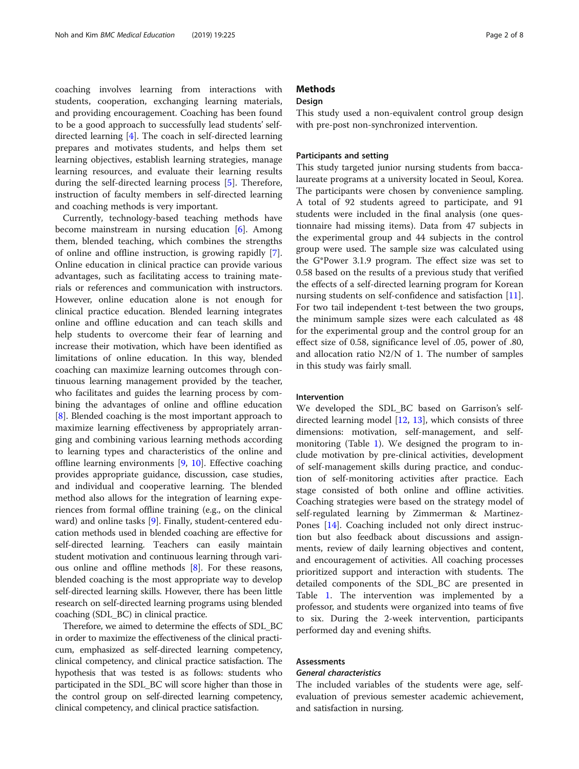coaching involves learning from interactions with students, cooperation, exchanging learning materials, and providing encouragement. Coaching has been found to be a good approach to successfully lead students' selfdirected learning [[4\]](#page-6-0). The coach in self-directed learning prepares and motivates students, and helps them set learning objectives, establish learning strategies, manage learning resources, and evaluate their learning results during the self-directed learning process [[5\]](#page-6-0). Therefore, instruction of faculty members in self-directed learning and coaching methods is very important.

Currently, technology-based teaching methods have become mainstream in nursing education  $[6]$  $[6]$ . Among them, blended teaching, which combines the strengths of online and offline instruction, is growing rapidly [\[7](#page-6-0)]. Online education in clinical practice can provide various advantages, such as facilitating access to training materials or references and communication with instructors. However, online education alone is not enough for clinical practice education. Blended learning integrates online and offline education and can teach skills and help students to overcome their fear of learning and increase their motivation, which have been identified as limitations of online education. In this way, blended coaching can maximize learning outcomes through continuous learning management provided by the teacher, who facilitates and guides the learning process by combining the advantages of online and offline education [[8\]](#page-6-0). Blended coaching is the most important approach to maximize learning effectiveness by appropriately arranging and combining various learning methods according to learning types and characteristics of the online and offline learning environments  $[9, 10]$  $[9, 10]$  $[9, 10]$ . Effective coaching provides appropriate guidance, discussion, case studies, and individual and cooperative learning. The blended method also allows for the integration of learning experiences from formal offline training (e.g., on the clinical ward) and online tasks [\[9](#page-6-0)]. Finally, student-centered education methods used in blended coaching are effective for self-directed learning. Teachers can easily maintain student motivation and continuous learning through various online and offline methods [[8](#page-6-0)]. For these reasons, blended coaching is the most appropriate way to develop self-directed learning skills. However, there has been little research on self-directed learning programs using blended coaching (SDL\_BC) in clinical practice.

Therefore, we aimed to determine the effects of SDL\_BC in order to maximize the effectiveness of the clinical practicum, emphasized as self-directed learning competency, clinical competency, and clinical practice satisfaction. The hypothesis that was tested is as follows: students who participated in the SDL\_BC will score higher than those in the control group on self-directed learning competency, clinical competency, and clinical practice satisfaction.

# **Methods**

# Design

This study used a non-equivalent control group design with pre-post non-synchronized intervention.

# Participants and setting

This study targeted junior nursing students from baccalaureate programs at a university located in Seoul, Korea. The participants were chosen by convenience sampling. A total of 92 students agreed to participate, and 91 students were included in the final analysis (one questionnaire had missing items). Data from 47 subjects in the experimental group and 44 subjects in the control group were used. The sample size was calculated using the G\*Power 3.1.9 program. The effect size was set to 0.58 based on the results of a previous study that verified the effects of a self-directed learning program for Korean nursing students on self-confidence and satisfaction [\[11](#page-6-0)]. For two tail independent t-test between the two groups, the minimum sample sizes were each calculated as 48 for the experimental group and the control group for an effect size of 0.58, significance level of .05, power of .80, and allocation ratio N2/N of 1. The number of samples in this study was fairly small.

# Intervention

We developed the SDL\_BC based on Garrison's selfdirected learning model [\[12](#page-6-0), [13\]](#page-6-0), which consists of three dimensions: motivation, self-management, and selfmonitoring (Table [1\)](#page-2-0). We designed the program to include motivation by pre-clinical activities, development of self-management skills during practice, and conduction of self-monitoring activities after practice. Each stage consisted of both online and offline activities. Coaching strategies were based on the strategy model of self-regulated learning by Zimmerman & Martinez-Pones [[14](#page-6-0)]. Coaching included not only direct instruction but also feedback about discussions and assignments, review of daily learning objectives and content, and encouragement of activities. All coaching processes prioritized support and interaction with students. The detailed components of the SDL\_BC are presented in Table [1.](#page-2-0) The intervention was implemented by a professor, and students were organized into teams of five to six. During the 2-week intervention, participants performed day and evening shifts.

# Assessments

# General characteristics

The included variables of the students were age, selfevaluation of previous semester academic achievement, and satisfaction in nursing.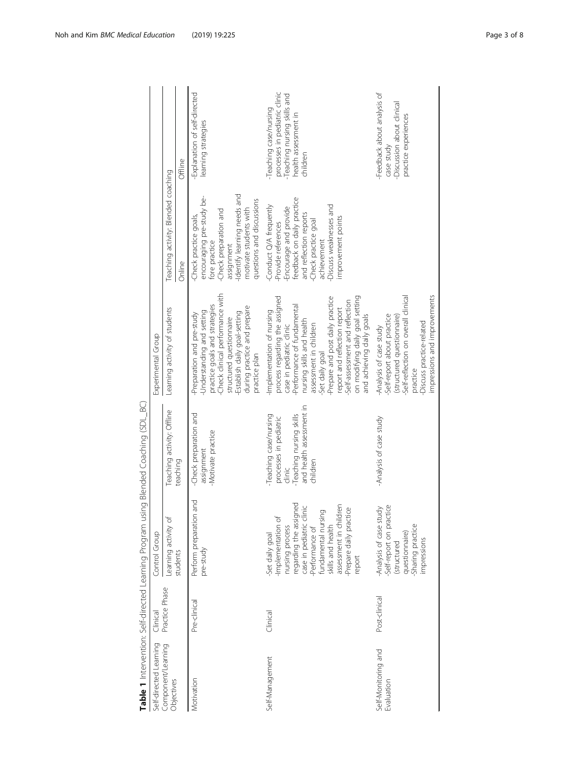|                                   |                |                                                                                                                                                                                                                                           | Table 1 Intervention: Self-directed Learning Program using Blended Coaching (SDL_BC)                                           |                                                                                                                                                                                                                                                                                                                                                                      |                                                                                                                                                                                                                        |                                                                                                                             |
|-----------------------------------|----------------|-------------------------------------------------------------------------------------------------------------------------------------------------------------------------------------------------------------------------------------------|--------------------------------------------------------------------------------------------------------------------------------|----------------------------------------------------------------------------------------------------------------------------------------------------------------------------------------------------------------------------------------------------------------------------------------------------------------------------------------------------------------------|------------------------------------------------------------------------------------------------------------------------------------------------------------------------------------------------------------------------|-----------------------------------------------------------------------------------------------------------------------------|
| Self-directed Learning            | Clinical       | Control Group                                                                                                                                                                                                                             |                                                                                                                                | Experimental Group                                                                                                                                                                                                                                                                                                                                                   |                                                                                                                                                                                                                        |                                                                                                                             |
| Component/Learning<br>Objectives  | Practice Phase | Learning activity of                                                                                                                                                                                                                      | Teaching activity: Offline                                                                                                     | Learning activity of students                                                                                                                                                                                                                                                                                                                                        | Teaching activity: Blended coaching                                                                                                                                                                                    |                                                                                                                             |
|                                   |                | students                                                                                                                                                                                                                                  | teaching                                                                                                                       |                                                                                                                                                                                                                                                                                                                                                                      | Online                                                                                                                                                                                                                 | Offline                                                                                                                     |
| Motivation                        | Pre-clinical   | Perform preparation and<br>pre-study                                                                                                                                                                                                      | -Check preparation and<br>Motivate practice<br>assignment                                                                      | Check clinical performance with<br>practice goals and strategies<br>during practice and prepare<br>Understanding and setting<br>Establish daily goal-setting<br>Preparation and pre-study<br>structured questionnaire<br>practice plan                                                                                                                               | -Identify learning needs and<br>encouraging pre-study be-<br>questions and discussions<br>motivate students with<br>-Check preparation and<br>-Check practice goals,<br>fore practice<br>assignment                    | Explanation of self-directed<br>learning strategies                                                                         |
| Self-Management                   | Clinical       | regarding the assigned<br>assessment in children<br>case in pediatric clinic<br>-Prepare daily practice<br>fundamental nursing<br>Implementation of<br>skills and health<br>nursing process<br>Performance of<br>Set daily goal<br>report | and health assessment in<br>-Teaching nursing skills<br>-Teaching case/nursing<br>processes in pediatric<br>children<br>clinic | on modifying daily goal setting<br>Prepare and post daily practice<br>process regarding the assigned<br>Self-assessment and reflection<br>Performance of fundamental<br>report and reflection report<br>-Implementation of nursing<br>and achieving daily goals<br>nursing skills and health<br>assessment in children<br>case in pediatric clinic<br>Set daily goal | feedback on daily practice<br>-Conduct Q/A frequently<br>Discuss weaknesses and<br>Encourage and provide<br>and reflection reports<br>improvement points<br>-Check practice goal<br>-Provide references<br>achievement | processes in pediatric clinic<br>-Teaching nursing skills and<br>-Teaching case/nursing<br>health assessment in<br>children |
| Self-Monitoring and<br>Evaluation | Post-clinical  | Self-report on practice<br>Analysis of case study<br>Sharing practice<br>questionnaire)<br>impressions<br>(structured                                                                                                                     | -Analysis of case study                                                                                                        | impressions and improvements<br>Self-reflection on overall clinical<br>Self-report about practice<br>(structured questionnaire)<br>-Discuss practice-related<br>-Analysis of case study<br>practice                                                                                                                                                                  |                                                                                                                                                                                                                        | -Feedback about analysis of<br>-Discussion about clinical<br>practice experiences<br>case study                             |

<span id="page-2-0"></span>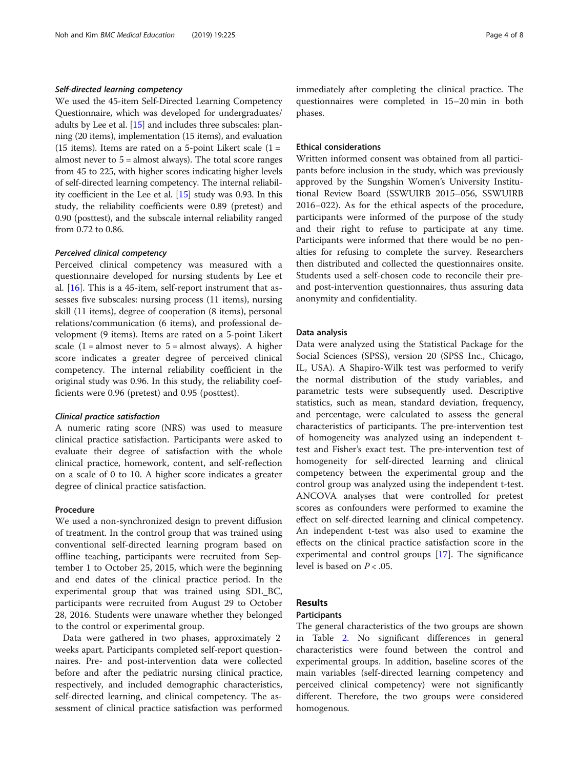# Self-directed learning competency

We used the 45-item Self-Directed Learning Competency Questionnaire, which was developed for undergraduates/ adults by Lee et al.  $[15]$  $[15]$  $[15]$  and includes three subscales: planning (20 items), implementation (15 items), and evaluation (15 items). Items are rated on a 5-point Likert scale  $(1 =$ almost never to 5 = almost always). The total score ranges from 45 to 225, with higher scores indicating higher levels of self-directed learning competency. The internal reliability coefficient in the Lee et al. [[15](#page-6-0)] study was 0.93. In this study, the reliability coefficients were 0.89 (pretest) and 0.90 (posttest), and the subscale internal reliability ranged from 0.72 to 0.86.

# Perceived clinical competency

Perceived clinical competency was measured with a questionnaire developed for nursing students by Lee et al. [\[16\]](#page-6-0). This is a 45-item, self-report instrument that assesses five subscales: nursing process (11 items), nursing skill (11 items), degree of cooperation (8 items), personal relations/communication (6 items), and professional development (9 items). Items are rated on a 5-point Likert scale  $(1 =$  almost never to  $5 =$  almost always). A higher score indicates a greater degree of perceived clinical competency. The internal reliability coefficient in the original study was 0.96. In this study, the reliability coefficients were 0.96 (pretest) and 0.95 (posttest).

## Clinical practice satisfaction

A numeric rating score (NRS) was used to measure clinical practice satisfaction. Participants were asked to evaluate their degree of satisfaction with the whole clinical practice, homework, content, and self-reflection on a scale of 0 to 10. A higher score indicates a greater degree of clinical practice satisfaction.

# Procedure

We used a non-synchronized design to prevent diffusion of treatment. In the control group that was trained using conventional self-directed learning program based on offline teaching, participants were recruited from September 1 to October 25, 2015, which were the beginning and end dates of the clinical practice period. In the experimental group that was trained using SDL\_BC, participants were recruited from August 29 to October 28, 2016. Students were unaware whether they belonged to the control or experimental group.

Data were gathered in two phases, approximately 2 weeks apart. Participants completed self-report questionnaires. Pre- and post-intervention data were collected before and after the pediatric nursing clinical practice, respectively, and included demographic characteristics, self-directed learning, and clinical competency. The assessment of clinical practice satisfaction was performed immediately after completing the clinical practice. The questionnaires were completed in 15–20 min in both phases.

# Ethical considerations

Written informed consent was obtained from all participants before inclusion in the study, which was previously approved by the Sungshin Women's University Institutional Review Board (SSWUIRB 2015–056, SSWUIRB 2016–022). As for the ethical aspects of the procedure, participants were informed of the purpose of the study and their right to refuse to participate at any time. Participants were informed that there would be no penalties for refusing to complete the survey. Researchers then distributed and collected the questionnaires onsite. Students used a self-chosen code to reconcile their preand post-intervention questionnaires, thus assuring data anonymity and confidentiality.

# Data analysis

Data were analyzed using the Statistical Package for the Social Sciences (SPSS), version 20 (SPSS Inc., Chicago, IL, USA). A Shapiro-Wilk test was performed to verify the normal distribution of the study variables, and parametric tests were subsequently used. Descriptive statistics, such as mean, standard deviation, frequency, and percentage, were calculated to assess the general characteristics of participants. The pre-intervention test of homogeneity was analyzed using an independent ttest and Fisher's exact test. The pre-intervention test of homogeneity for self-directed learning and clinical competency between the experimental group and the control group was analyzed using the independent t-test. ANCOVA analyses that were controlled for pretest scores as confounders were performed to examine the effect on self-directed learning and clinical competency. An independent t-test was also used to examine the effects on the clinical practice satisfaction score in the experimental and control groups [\[17\]](#page-6-0). The significance level is based on  $P < .05$ .

# Results

# Participants

The general characteristics of the two groups are shown in Table [2](#page-4-0). No significant differences in general characteristics were found between the control and experimental groups. In addition, baseline scores of the main variables (self-directed learning competency and perceived clinical competency) were not significantly different. Therefore, the two groups were considered homogenous.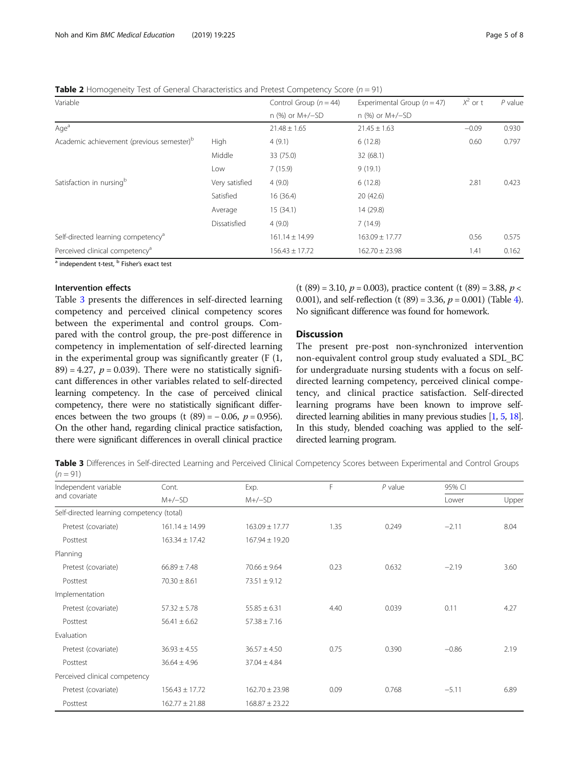<span id="page-4-0"></span>**Table 2** Homogeneity Test of General Characteristics and Pretest Competency Score ( $n = 91$ )

| Variable                                              |                | Control Group ( $n = 44$ ) | Experimental Group $(n = 47)$ | $X^2$ or t | $P$ value |
|-------------------------------------------------------|----------------|----------------------------|-------------------------------|------------|-----------|
|                                                       |                | n (%) or M+/-SD            | n (%) or M+/-SD               |            |           |
| Age <sup>a</sup>                                      |                | $21.48 \pm 1.65$           | $21.45 \pm 1.63$              | $-0.09$    | 0.930     |
| Academic achievement (previous semester) <sup>b</sup> | High           | 4(9.1)                     | 6(12.8)                       | 0.60       | 0.797     |
|                                                       | Middle         | 33 (75.0)                  | 32(68.1)                      |            |           |
|                                                       | Low            | 7(15.9)                    | 9(19.1)                       |            |           |
| Satisfaction in nursing <sup>b</sup>                  | Very satisfied | 4(9.0)                     | 6(12.8)                       | 2.81       | 0.423     |
|                                                       | Satisfied      | 16(36.4)                   | 20(42.6)                      |            |           |
|                                                       | Average        | 15 (34.1)                  | 14 (29.8)                     |            |           |
|                                                       | Dissatisfied   | 4(9.0)                     | 7(14.9)                       |            |           |
| Self-directed learning competency <sup>a</sup>        |                | $161.14 \pm 14.99$         | $163.09 \pm 17.77$            | 0.56       | 0.575     |
| Perceived clinical competency <sup>a</sup>            |                | $156.43 \pm 17.72$         | $162.70 \pm 23.98$            | 1.41       | 0.162     |

<sup>a</sup> independent t-test, <sup>b</sup> Fisher's exact test

# Intervention effects

Table 3 presents the differences in self-directed learning competency and perceived clinical competency scores between the experimental and control groups. Compared with the control group, the pre-post difference in competency in implementation of self-directed learning in the experimental group was significantly greater (F (1, 89) = 4.27,  $p = 0.039$ . There were no statistically significant differences in other variables related to self-directed learning competency. In the case of perceived clinical competency, there were no statistically significant differences between the two groups (t  $(89) = -0.06$ ,  $p = 0.956$ ). On the other hand, regarding clinical practice satisfaction, there were significant differences in overall clinical practice

 $(t (89) = 3.10, p = 0.003)$ , practice content  $(t (89) = 3.88, p <$ 0.001), and self-reflection (t  $(89) = 3.36$ ,  $p = 0.001$ ) (Table [4](#page-5-0)). No significant difference was found for homework.

# Discussion

The present pre-post non-synchronized intervention non-equivalent control group study evaluated a SDL\_BC for undergraduate nursing students with a focus on selfdirected learning competency, perceived clinical competency, and clinical practice satisfaction. Self-directed learning programs have been known to improve selfdirected learning abilities in many previous studies [[1](#page-6-0), [5,](#page-6-0) [18](#page-6-0)]. In this study, blended coaching was applied to the selfdirected learning program.

Table 3 Differences in Self-directed Learning and Perceived Clinical Competency Scores between Experimental and Control Groups  $(n = 91)$ 

| Independent variable                      | Cont.              | F<br>Exp.          |      | $P$ value | 95% CI  |       |
|-------------------------------------------|--------------------|--------------------|------|-----------|---------|-------|
| and covariate                             | $M+/-SD$           | $M+/-SD$           |      |           | Lower   | Upper |
| Self-directed learning competency (total) |                    |                    |      |           |         |       |
| Pretest (covariate)                       | $161.14 \pm 14.99$ | $163.09 \pm 17.77$ | 1.35 | 0.249     | $-2.11$ | 8.04  |
| Posttest                                  | $163.34 \pm 17.42$ | $167.94 \pm 19.20$ |      |           |         |       |
| Planning                                  |                    |                    |      |           |         |       |
| Pretest (covariate)                       | $66.89 \pm 7.48$   | $70.66 \pm 9.64$   | 0.23 | 0.632     | $-2.19$ | 3.60  |
| Posttest                                  | $70.30 \pm 8.61$   | $73.51 \pm 9.12$   |      |           |         |       |
| Implementation                            |                    |                    |      |           |         |       |
| Pretest (covariate)                       | $57.32 \pm 5.78$   | $55.85 \pm 6.31$   | 4.40 | 0.039     | 0.11    | 4.27  |
| Posttest                                  | $56.41 \pm 6.62$   | $57.38 \pm 7.16$   |      |           |         |       |
| Evaluation                                |                    |                    |      |           |         |       |
| Pretest (covariate)                       | $36.93 \pm 4.55$   | $36.57 \pm 4.50$   | 0.75 | 0.390     | $-0.86$ | 2.19  |
| Posttest                                  | $36.64 \pm 4.96$   | $37.04 \pm 4.84$   |      |           |         |       |
| Perceived clinical competency             |                    |                    |      |           |         |       |
| Pretest (covariate)                       | $156.43 \pm 17.72$ | $162.70 \pm 23.98$ | 0.09 | 0.768     | $-5.11$ | 6.89  |
| Posttest                                  | $162.77 \pm 21.88$ | $168.87 \pm 23.22$ |      |           |         |       |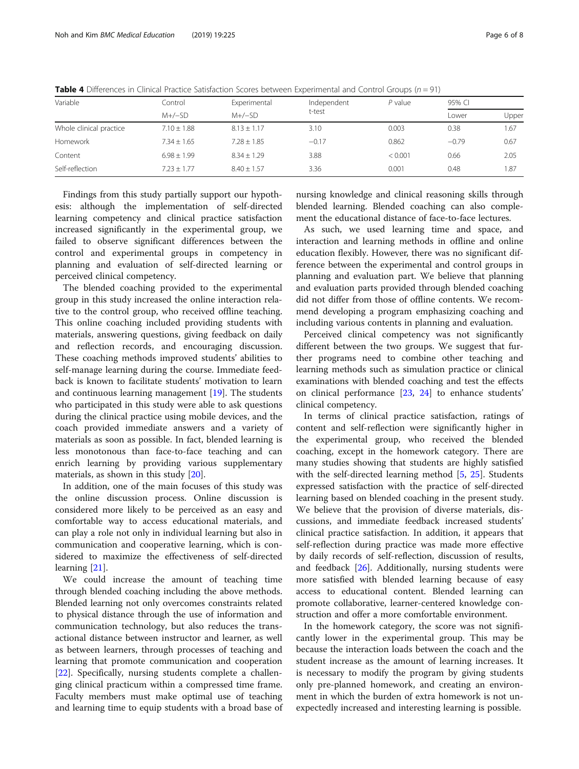| Variable                | Control<br>$M+/-SD$ | Experimental  | Independent | $P$ value | 95% CI  |       |
|-------------------------|---------------------|---------------|-------------|-----------|---------|-------|
|                         |                     | $M+/-SD$      | t-test      |           | Lower   | Upper |
| Whole clinical practice | $7.10 + 1.88$       | $8.13 + 1.17$ | 3.10        | 0.003     | 0.38    | 1.67  |
| Homework                | $7.34 + 1.65$       | $7.28 + 1.85$ | $-0.17$     | 0.862     | $-0.79$ | 0.67  |
| Content                 | $6.98 + 1.99$       | $8.34 + 1.29$ | 3.88        | < 0.001   | 0.66    | 2.05  |
| Self-reflection         | $7.23 + 1.77$       | $8.40 + 1.57$ | 3.36        | 0.001     | 0.48    | 1.87  |

<span id="page-5-0"></span>**Table 4** Differences in Clinical Practice Satisfaction Scores between Experimental and Control Groups ( $n = 91$ )

Findings from this study partially support our hypothesis: although the implementation of self-directed learning competency and clinical practice satisfaction increased significantly in the experimental group, we failed to observe significant differences between the control and experimental groups in competency in planning and evaluation of self-directed learning or perceived clinical competency.

The blended coaching provided to the experimental group in this study increased the online interaction relative to the control group, who received offline teaching. This online coaching included providing students with materials, answering questions, giving feedback on daily and reflection records, and encouraging discussion. These coaching methods improved students' abilities to self-manage learning during the course. Immediate feedback is known to facilitate students' motivation to learn and continuous learning management [[19\]](#page-6-0). The students who participated in this study were able to ask questions during the clinical practice using mobile devices, and the coach provided immediate answers and a variety of materials as soon as possible. In fact, blended learning is less monotonous than face-to-face teaching and can enrich learning by providing various supplementary materials, as shown in this study [\[20](#page-6-0)].

In addition, one of the main focuses of this study was the online discussion process. Online discussion is considered more likely to be perceived as an easy and comfortable way to access educational materials, and can play a role not only in individual learning but also in communication and cooperative learning, which is considered to maximize the effectiveness of self-directed learning [[21\]](#page-6-0).

We could increase the amount of teaching time through blended coaching including the above methods. Blended learning not only overcomes constraints related to physical distance through the use of information and communication technology, but also reduces the transactional distance between instructor and learner, as well as between learners, through processes of teaching and learning that promote communication and cooperation [[22\]](#page-6-0). Specifically, nursing students complete a challenging clinical practicum within a compressed time frame. Faculty members must make optimal use of teaching and learning time to equip students with a broad base of

nursing knowledge and clinical reasoning skills through blended learning. Blended coaching can also complement the educational distance of face-to-face lectures.

As such, we used learning time and space, and interaction and learning methods in offline and online education flexibly. However, there was no significant difference between the experimental and control groups in planning and evaluation part. We believe that planning and evaluation parts provided through blended coaching did not differ from those of offline contents. We recommend developing a program emphasizing coaching and including various contents in planning and evaluation.

Perceived clinical competency was not significantly different between the two groups. We suggest that further programs need to combine other teaching and learning methods such as simulation practice or clinical examinations with blended coaching and test the effects on clinical performance [[23](#page-6-0), [24\]](#page-7-0) to enhance students' clinical competency.

In terms of clinical practice satisfaction, ratings of content and self-reflection were significantly higher in the experimental group, who received the blended coaching, except in the homework category. There are many studies showing that students are highly satisfied with the self-directed learning method [[5,](#page-6-0) [25\]](#page-7-0). Students expressed satisfaction with the practice of self-directed learning based on blended coaching in the present study. We believe that the provision of diverse materials, discussions, and immediate feedback increased students' clinical practice satisfaction. In addition, it appears that self-reflection during practice was made more effective by daily records of self-reflection, discussion of results, and feedback [[26\]](#page-7-0). Additionally, nursing students were more satisfied with blended learning because of easy access to educational content. Blended learning can promote collaborative, learner-centered knowledge construction and offer a more comfortable environment.

In the homework category, the score was not significantly lower in the experimental group. This may be because the interaction loads between the coach and the student increase as the amount of learning increases. It is necessary to modify the program by giving students only pre-planned homework, and creating an environment in which the burden of extra homework is not unexpectedly increased and interesting learning is possible.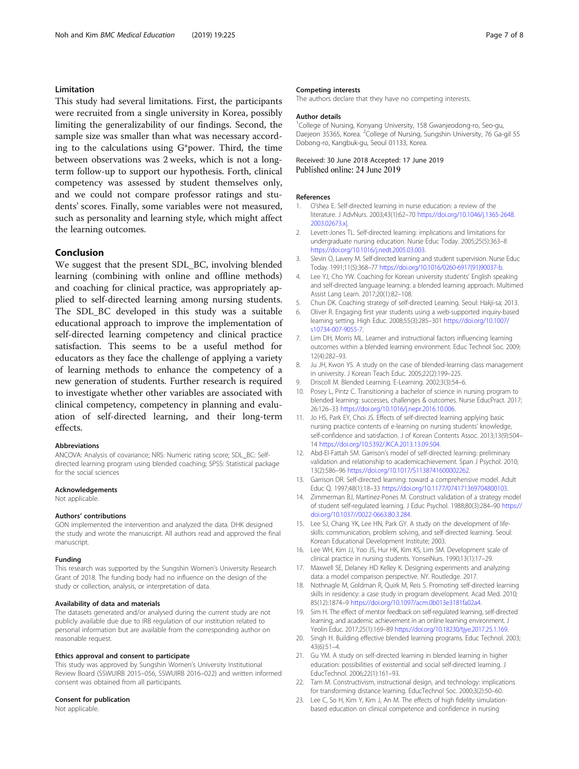# <span id="page-6-0"></span>Limitation

This study had several limitations. First, the participants were recruited from a single university in Korea, possibly limiting the generalizability of our findings. Second, the sample size was smaller than what was necessary according to the calculations using G\*power. Third, the time between observations was 2 weeks, which is not a longterm follow-up to support our hypothesis. Forth, clinical competency was assessed by student themselves only, and we could not compare professor ratings and students' scores. Finally, some variables were not measured, such as personality and learning style, which might affect the learning outcomes.

# Conclusion

We suggest that the present SDL\_BC, involving blended learning (combining with online and offline methods) and coaching for clinical practice, was appropriately applied to self-directed learning among nursing students. The SDL\_BC developed in this study was a suitable educational approach to improve the implementation of self-directed learning competency and clinical practice satisfaction. This seems to be a useful method for educators as they face the challenge of applying a variety of learning methods to enhance the competency of a new generation of students. Further research is required to investigate whether other variables are associated with clinical competency, competency in planning and evaluation of self-directed learning, and their long-term effects.

# Abbreviations

ANCOVA: Analysis of covariance; NRS: Numeric rating score; SDL\_BC: Selfdirected learning program using blended coaching; SPSS: Statistical package for the social sciences

# Acknowledgements

Not applicable.

## Authors' contributions

GON implemented the intervention and analyzed the data. DHK designed the study and wrote the manuscript. All authors read and approved the final manuscript.

#### Funding

This research was supported by the Sungshin Women's University Research Grant of 2018. The funding body had no influence on the design of the study or collection, analysis, or interpretation of data.

#### Availability of data and materials

The datasets generated and/or analysed during the current study are not publicly available due due to IRB regulation of our institution related to personal information but are available from the corresponding author on reasonable request.

# Ethics approval and consent to participate

This study was approved by Sungshin Women's University Institutional Review Board (SSWUIRB 2015–056, SSWUIRB 2016–022) and written informed consent was obtained from all participants.

# Consent for publication

Not applicable.

#### Competing interests

The authors declare that they have no competing interests.

#### Author details

<sup>1</sup>College of Nursing, Konyang University, 158 Gwanjeodong-ro, Seo-gu, Daejeon 35365, Korea. <sup>2</sup>College of Nursing, Sungshin University, 76 Ga-gil 55 Dobong-ro, Kangbuk-gu, Seoul 01133, Korea.

# Received: 30 June 2018 Accepted: 17 June 2019<br>Published online: 24 June 2019

#### References

- 1. O'shea E. Self-directed learning in nurse education: a review of the literature. J AdvNurs. 2003;43(1):62–70 [https://doi.org/10.1046/j.1365-2648.](https://doi.org/10.1046/j.1365-2648.2003.02673.x|) [2003.02673.x|](https://doi.org/10.1046/j.1365-2648.2003.02673.x|).
- 2. Levett-Jones TL. Self-directed learning: implications and limitations for undergraduate nursing education. Nurse Educ Today. 2005;25(5):363–8 <https://doi.org/10.1016/j.nedt.2005.03.003>.
- 3. Slevin O, Lavery M. Self-directed learning and student supervision. Nurse Educ Today. 1991;11(5):368–77 [https://doi.org/10.1016/0260-6917\(91\)90037-b.](https://doi.org/10.1016/0260-6917(91)90037-b)
- 4. Lee YJ, Cho YW. Coaching for Korean university students' English speaking and self-directed language learning: a blended learning approach. Multimed Assist Lang Learn. 2017;20(1):82–108.
- 5. Chun DK. Coaching strategy of self-directed Learning. Seoul: Hakji-sa; 2013.
- 6. Oliver R. Engaging first year students using a web-supported inquiry-based learning setting. High Educ. 2008;55(3):285–301 [https://doi.org/10.1007/](https://doi.org/10.1007/s10734-007-9055-7) [s10734-007-9055-7.](https://doi.org/10.1007/s10734-007-9055-7)
- 7. Lim DH, Morris ML. Learner and instructional factors influencing learning outcomes within a blended learning environment. Educ Technol Soc. 2009; 12(4):282–93.
- 8. Ju JH, Kwon YS. A study on the case of blended-learning class management in university. J Korean Teach Educ. 2005;22(2):199–225.
- 9. Driscoll M. Blended Learning. E-Learning. 2002;3(3):54–6.
- 10. Posey L, Pintz C. Transitioning a bachelor of science in nursing program to blended learning: successes, challenges & outcomes. Nurse EducPract. 2017; 26:126–33 [https://doi.org/10.1016/j.nepr.2016.10.006.](https://doi.org/10.1016/j.nepr.2016.10.006)
- 11. Jo HS, Park EY, Choi JS. Effects of self-directed learning applying basic nursing practice contents of e-learning on nursing students' knowledge, self-confidence and satisfaction. J of Korean Contents Assoc. 2013;13(9):504– 14 <https://doi.org/10.5392/JKCA.2013.13.09.504>.
- 12. Abd-El-Fattah SM. Garrison's model of self-directed learning: preliminary validation and relationship to academicachievement. Span J Psychol. 2010: 13(2):586–96 [https://doi.org/10.1017/S1138741600002262.](https://doi.org/10.1017/S1138741600002262)
- 13. Garrison DR. Self-directed learning: toward a comprehensive model. Adult Educ Q. 1997;48(1):18–33 [https://doi.org/10.1177/074171369704800103.](https://doi.org/10.1177/074171369704800103)
- 14. Zimmerman BJ, Martinez-Pones M. Construct validation of a strategy model of student self-regulated learning. J Educ Psychol. 1988;80(3):284–90 [https://](https://doi.org/10.1037//0022-0663.80.3.284) [doi.org/10.1037//0022-0663.80.3.284](https://doi.org/10.1037//0022-0663.80.3.284).
- 15. Lee SJ, Chang YK, Lee HN, Park GY. A study on the development of lifeskills: communication, problem solving, and self-directed learning. Seoul: Korean Educational Development Institute; 2003.
- 16. Lee WH, Kim JJ, Yoo JS, Hur HK, Kim KS, Lim SM. Development scale of clinical practice in nursing students. YonseiNurs. 1990;13(1):17–29.
- 17. Maxwell SE, Delaney HD Kelley K. Designing experiments and analyzing data: a model comparison perspective. NY. Routledge. 2017.
- 18. Nothnagle M, Goldman R, Quirk M, Reis S. Promoting self-directed learning skills in residency: a case study in program development. Acad Med. 2010; 85(12):1874–9 [https://doi.org/10.1097/acm.0b013e3181fa02a4.](https://doi.org/10.1097/acm.0b013e3181fa02a4)
- 19. Sim H. The effect of mentor feedback on self-regulated learning, self-directed learning, and academic achievement in an online learning environment. J Yeolin Educ. 2017;25(1):169–89 <https://doi.org/10.18230/tjye.2017.25.1.169>.
- 20. Singh H. Building effective blended learning programs. Educ Technol. 2003; 43(6):51–4.
- 21. Gu YM. A study on self-directed learning in blended learning in higher education: possibilities of existential and social self-directed learning. J EducTechnol. 2006;22(1):161–93.
- 22. Tam M. Constructivism, instructional design, and technology: implications for transforming distance learning. EducTechnol Soc. 2000;3(2):50–60.
- 23. Lee C, So H, Kim Y, Kim J, An M. The effects of high fidelity simulationbased education on clinical competence and confidence in nursing